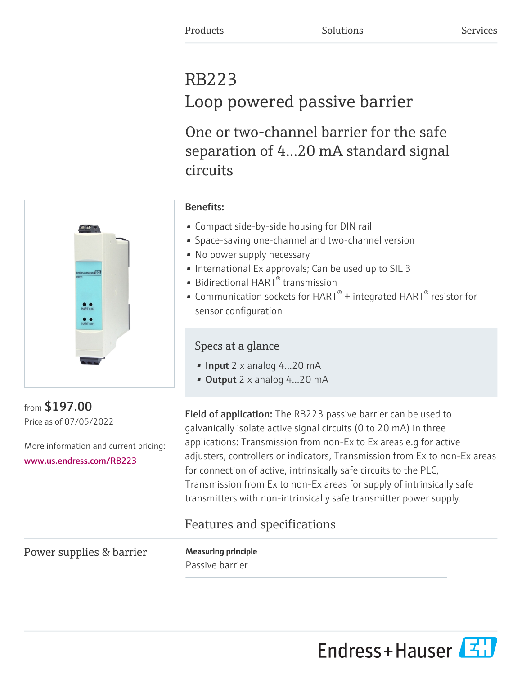# RB223 Loop powered passive barrier

One or two-channel barrier for the safe separation of 4...20 mA standard signal circuits



# Benefits:

- Compact side-by-side housing for DIN rail
- Space-saving one-channel and two-channel version
- No power supply necessary
- International Ex approvals; Can be used up to SIL 3
- Bidirectional HART $^{\circ}$  transmission
- Communication sockets for HART $^{\circ}$  + integrated HART $^{\circ}$  resistor for sensor configuration

# Specs at a glance

- Input 2 x analog 4...20 mA
- Output 2 x analog 4...20 mA

from \$197.00 Price as of 07/05/2022

More information and current pricing: [www.us.endress.com/RB223](https://www.us.endress.com/RB223)

Field of application: The RB223 passive barrier can be used to galvanically isolate active signal circuits (0 to 20 mA) in three applications: Transmission from non-Ex to Ex areas e.g for active adjusters, controllers or indicators, Transmission from Ex to non-Ex areas for connection of active, intrinsically safe circuits to the PLC, Transmission from Ex to non-Ex areas for supply of intrinsically safe transmitters with non-intrinsically safe transmitter power supply.

# Features and specifications

Power supplies & barrier Measuring principle

Passive barrier

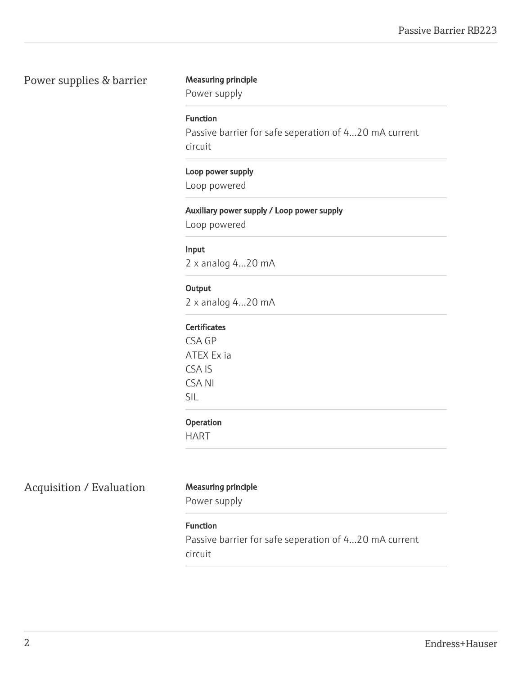# Power supplies & barrier Measuring principle

|  | Measuring principle |  |
|--|---------------------|--|
|--|---------------------|--|

Power supply

# Function

Passive barrier for safe seperation of 4...20 mA current circuit

#### Loop power supply

Loop powered

## Auxiliary power supply / Loop power supply

Loop powered

#### Input

2 x analog 4...20 mA

## **Output**

2 x analog 4...20 mA

#### **Certificates**

CSA GP ATEX Ex ia CSA IS CSA NI SIL

#### Operation

HART

# Acquisition / Evaluation Measuring principle

Power supply

# Function

Passive barrier for safe seperation of 4...20 mA current circuit